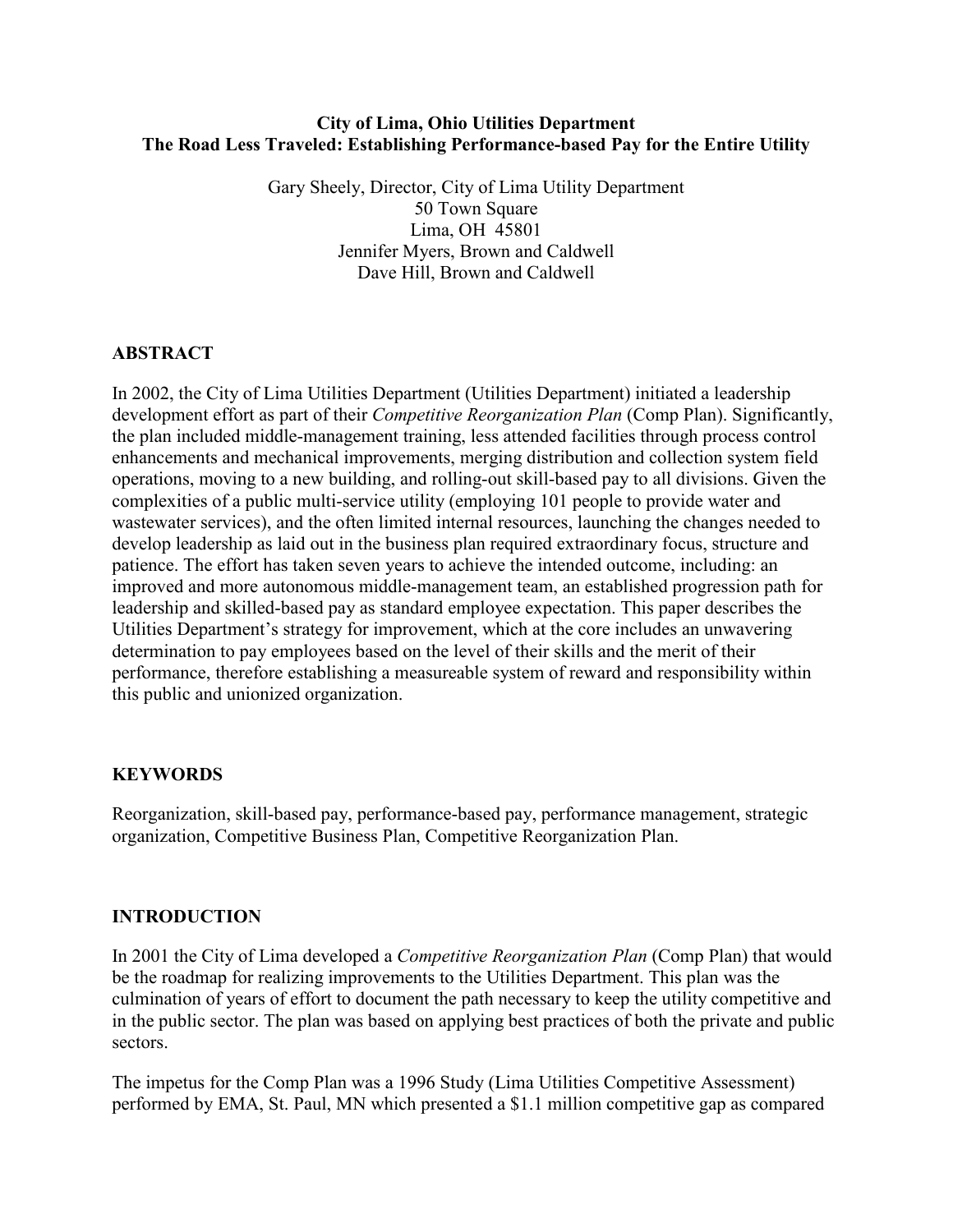### City of Lima, Ohio Utilities Department The Road Less Traveled: Establishing Performance-based Pay for the Entire Utility

Gary Sheely, Director, City of Lima Utility Department 50 Town Square Lima, OH 45801 Jennifer Myers, Brown and Caldwell Dave Hill, Brown and Caldwell

## **ABSTRACT**

In 2002, the City of Lima Utilities Department (Utilities Department) initiated a leadership development effort as part of their *Competitive Reorganization Plan* (Comp Plan). Significantly, the plan included middle-management training, less attended facilities through process control enhancements and mechanical improvements, merging distribution and collection system field operations, moving to a new building, and rolling-out skill-based pay to all divisions. Given the complexities of a public multi-service utility (employing 101 people to provide water and wastewater services), and the often limited internal resources, launching the changes needed to develop leadership as laid out in the business plan required extraordinary focus, structure and patience. The effort has taken seven years to achieve the intended outcome, including: an improved and more autonomous middle-management team, an established progression path for leadership and skilled-based pay as standard employee expectation. This paper describes the Utilities Department's strategy for improvement, which at the core includes an unwavering determination to pay employees based on the level of their skills and the merit of their performance, therefore establishing a measureable system of reward and responsibility within this public and unionized organization.

#### KEYWORDS

Reorganization, skill-based pay, performance-based pay, performance management, strategic organization, Competitive Business Plan, Competitive Reorganization Plan.

# INTRODUCTION

In 2001 the City of Lima developed a *Competitive Reorganization Plan* (Comp Plan) that would be the roadmap for realizing improvements to the Utilities Department. This plan was the culmination of years of effort to document the path necessary to keep the utility competitive and in the public sector. The plan was based on applying best practices of both the private and public sectors.

The impetus for the Comp Plan was a 1996 Study (Lima Utilities Competitive Assessment) performed by EMA, St. Paul, MN which presented a \$1.1 million competitive gap as compared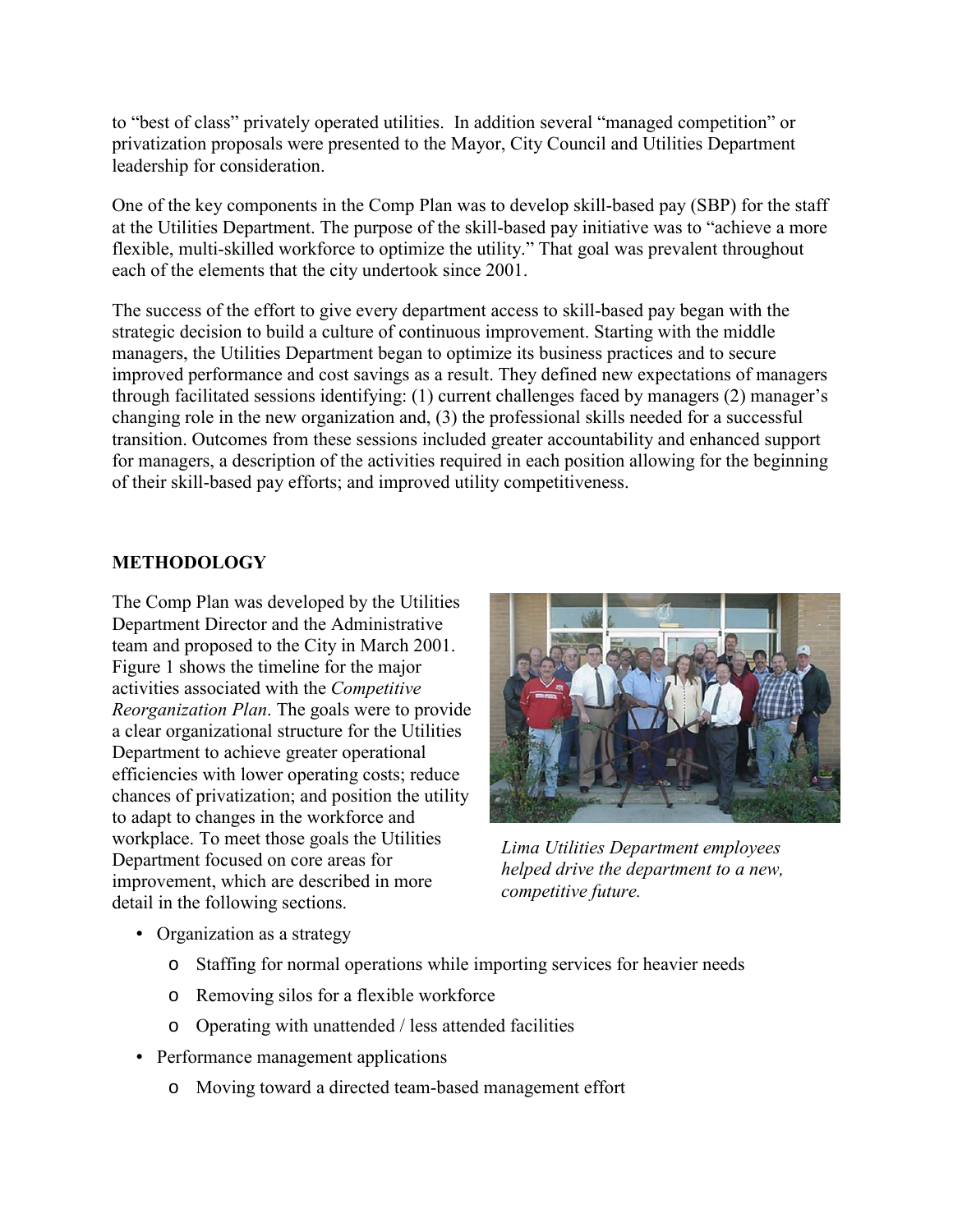to "best of class" privately operated utilities. In addition several "managed competition" or privatization proposals were presented to the Mayor, City Council and Utilities Department leadership for consideration.

One of the key components in the Comp Plan was to develop skill-based pay (SBP) for the staff at the Utilities Department. The purpose of the skill-based pay initiative was to "achieve a more flexible, multi-skilled workforce to optimize the utility." That goal was prevalent throughout each of the elements that the city undertook since 2001.

The success of the effort to give every department access to skill-based pay began with the strategic decision to build a culture of continuous improvement. Starting with the middle managers, the Utilities Department began to optimize its business practices and to secure improved performance and cost savings as a result. They defined new expectations of managers through facilitated sessions identifying: (1) current challenges faced by managers (2) manager's changing role in the new organization and, (3) the professional skills needed for a successful transition. Outcomes from these sessions included greater accountability and enhanced support for managers, a description of the activities required in each position allowing for the beginning of their skill-based pay efforts; and improved utility competitiveness.

# METHODOLOGY

The Comp Plan was developed by the Utilities Department Director and the Administrative team and proposed to the City in March 2001. Figure 1 shows the timeline for the major activities associated with the Competitive Reorganization Plan. The goals were to provide a clear organizational structure for the Utilities Department to achieve greater operational efficiencies with lower operating costs; reduce chances of privatization; and position the utility to adapt to changes in the workforce and workplace. To meet those goals the Utilities Department focused on core areas for improvement, which are described in more detail in the following sections.



Lima Utilities Department employees helped drive the department to a new, competitive future.

- Organization as a strategy
	- o Staffing for normal operations while importing services for heavier needs
	- o Removing silos for a flexible workforce
	- o Operating with unattended / less attended facilities
- Performance management applications
	- o Moving toward a directed team-based management effort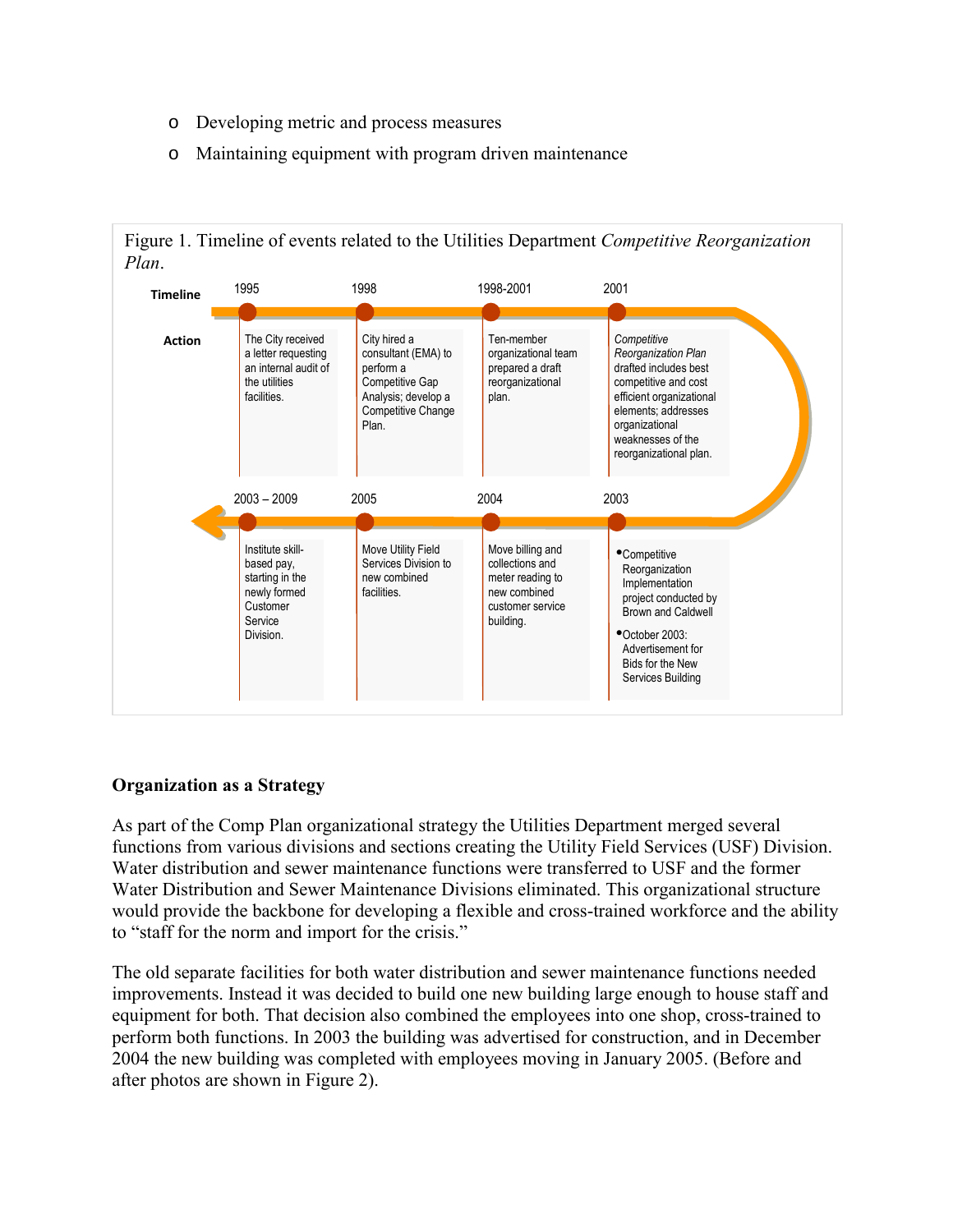- o Developing metric and process measures
- o Maintaining equipment with program driven maintenance



#### Organization as a Strategy

As part of the Comp Plan organizational strategy the Utilities Department merged several functions from various divisions and sections creating the Utility Field Services (USF) Division. Water distribution and sewer maintenance functions were transferred to USF and the former Water Distribution and Sewer Maintenance Divisions eliminated. This organizational structure would provide the backbone for developing a flexible and cross-trained workforce and the ability to "staff for the norm and import for the crisis."

The old separate facilities for both water distribution and sewer maintenance functions needed improvements. Instead it was decided to build one new building large enough to house staff and equipment for both. That decision also combined the employees into one shop, cross-trained to perform both functions. In 2003 the building was advertised for construction, and in December 2004 the new building was completed with employees moving in January 2005. (Before and after photos are shown in Figure 2).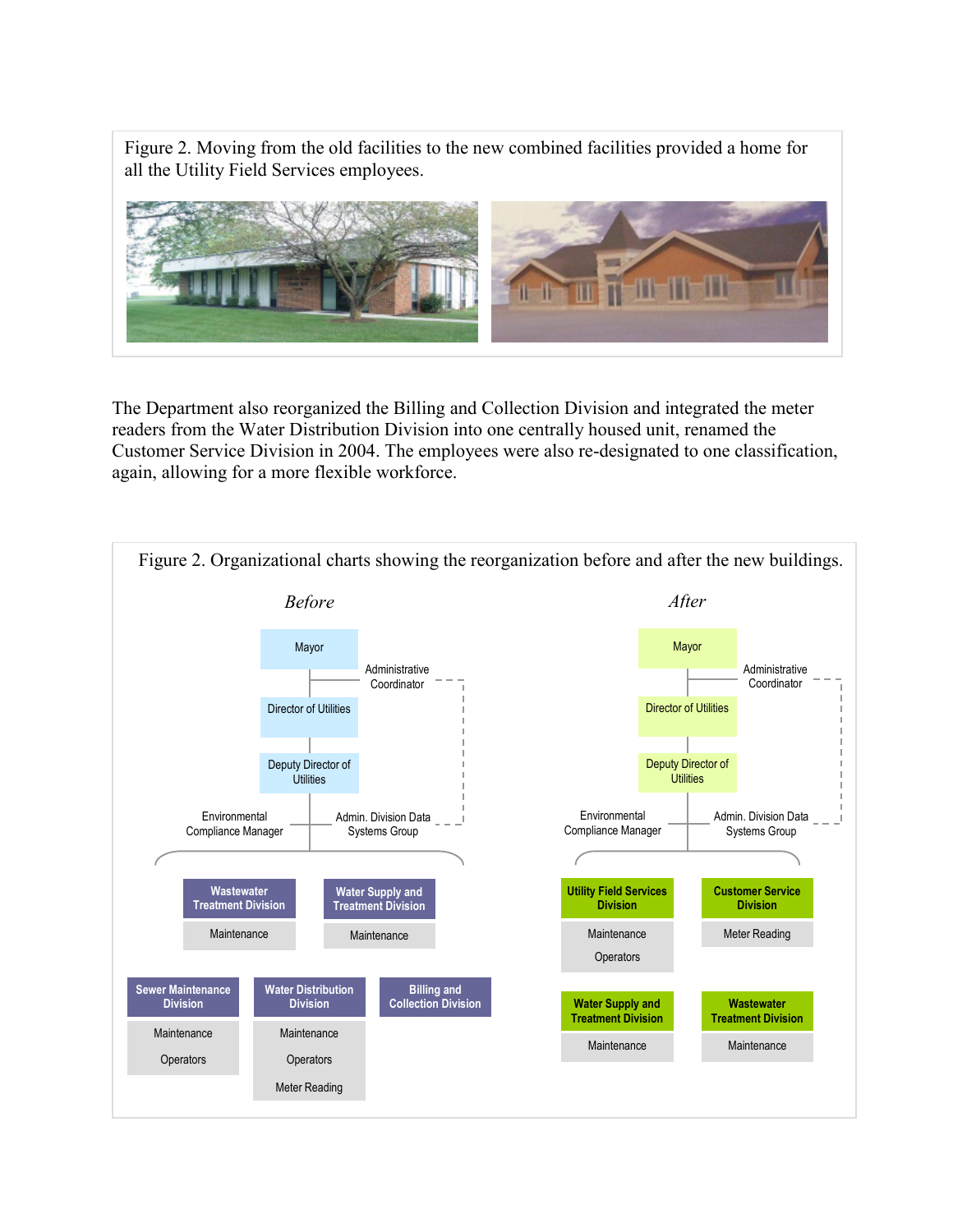Figure 2. Moving from the old facilities to the new combined facilities provided a home for all the Utility Field Services employees.



The Department also reorganized the Billing and Collection Division and integrated the meter readers from the Water Distribution Division into one centrally housed unit, renamed the Customer Service Division in 2004. The employees were also re-designated to one classification, again, allowing for a more flexible workforce.

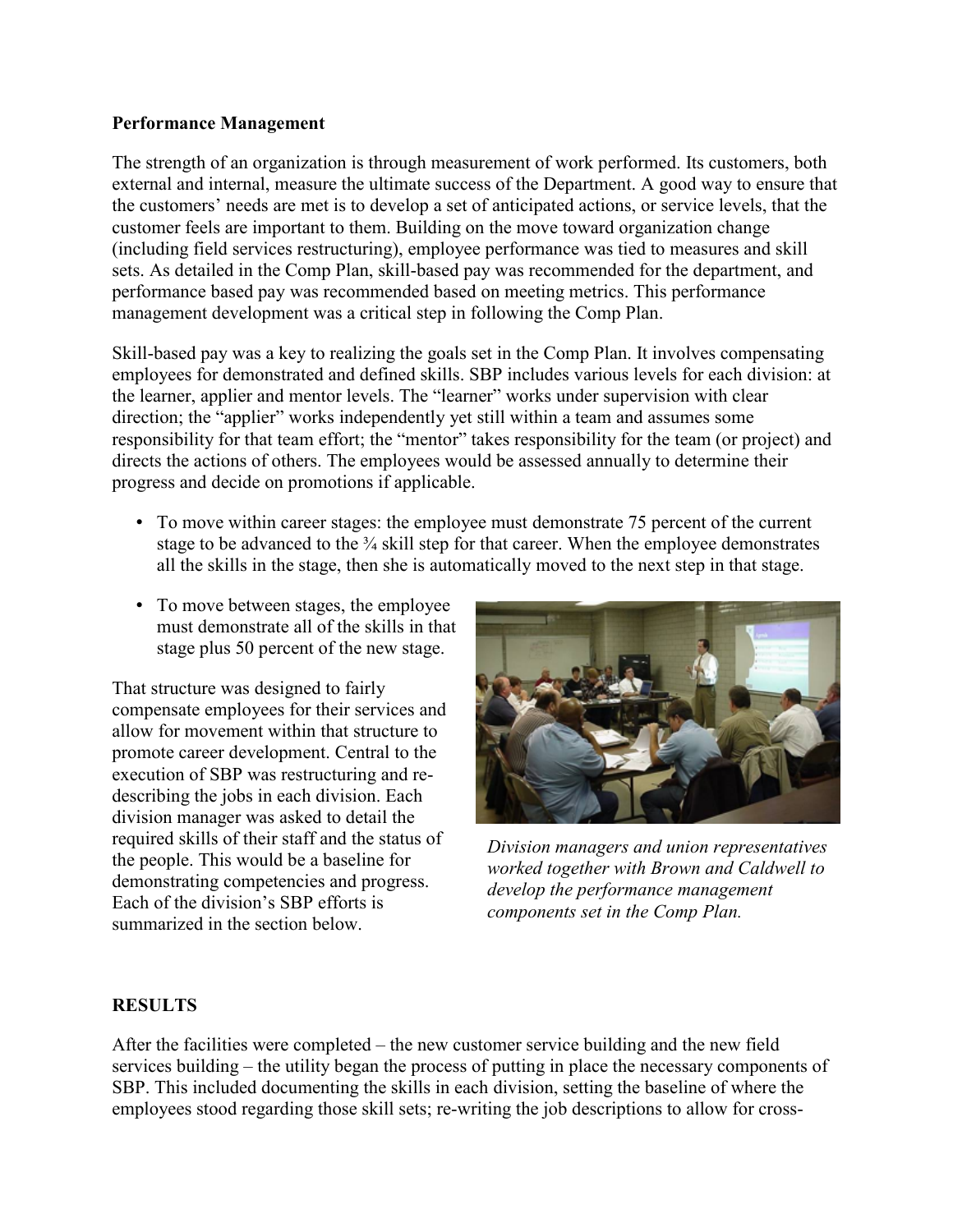### Performance Management

The strength of an organization is through measurement of work performed. Its customers, both external and internal, measure the ultimate success of the Department. A good way to ensure that the customers' needs are met is to develop a set of anticipated actions, or service levels, that the customer feels are important to them. Building on the move toward organization change (including field services restructuring), employee performance was tied to measures and skill sets. As detailed in the Comp Plan, skill-based pay was recommended for the department, and performance based pay was recommended based on meeting metrics. This performance management development was a critical step in following the Comp Plan.

Skill-based pay was a key to realizing the goals set in the Comp Plan. It involves compensating employees for demonstrated and defined skills. SBP includes various levels for each division: at the learner, applier and mentor levels. The "learner" works under supervision with clear direction; the "applier" works independently yet still within a team and assumes some responsibility for that team effort; the "mentor" takes responsibility for the team (or project) and directs the actions of others. The employees would be assessed annually to determine their progress and decide on promotions if applicable.

- To move within career stages: the employee must demonstrate 75 percent of the current stage to be advanced to the <sup>3</sup>/<sub>4</sub> skill step for that career. When the employee demonstrates all the skills in the stage, then she is automatically moved to the next step in that stage.
- To move between stages, the employee must demonstrate all of the skills in that stage plus 50 percent of the new stage.

That structure was designed to fairly compensate employees for their services and allow for movement within that structure to promote career development. Central to the execution of SBP was restructuring and redescribing the jobs in each division. Each division manager was asked to detail the required skills of their staff and the status of the people. This would be a baseline for demonstrating competencies and progress. Each of the division's SBP efforts is summarized in the section below.



Division managers and union representatives worked together with Brown and Caldwell to develop the performance management components set in the Comp Plan.

# **RESULTS**

After the facilities were completed – the new customer service building and the new field services building – the utility began the process of putting in place the necessary components of SBP. This included documenting the skills in each division, setting the baseline of where the employees stood regarding those skill sets; re-writing the job descriptions to allow for cross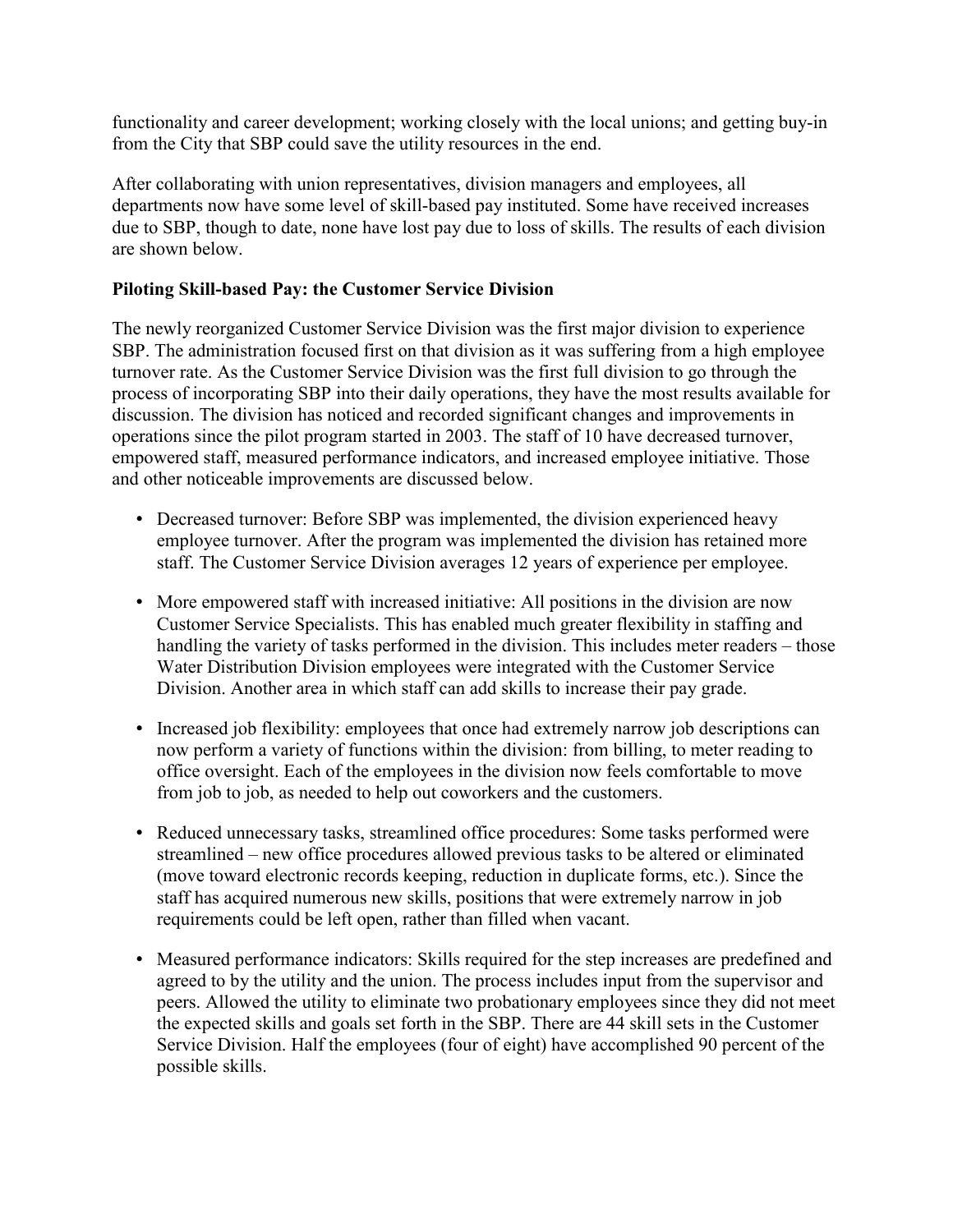functionality and career development; working closely with the local unions; and getting buy-in from the City that SBP could save the utility resources in the end.

After collaborating with union representatives, division managers and employees, all departments now have some level of skill-based pay instituted. Some have received increases due to SBP, though to date, none have lost pay due to loss of skills. The results of each division are shown below.

# Piloting Skill-based Pay: the Customer Service Division

The newly reorganized Customer Service Division was the first major division to experience SBP. The administration focused first on that division as it was suffering from a high employee turnover rate. As the Customer Service Division was the first full division to go through the process of incorporating SBP into their daily operations, they have the most results available for discussion. The division has noticed and recorded significant changes and improvements in operations since the pilot program started in 2003. The staff of 10 have decreased turnover, empowered staff, measured performance indicators, and increased employee initiative. Those and other noticeable improvements are discussed below.

- Decreased turnover: Before SBP was implemented, the division experienced heavy employee turnover. After the program was implemented the division has retained more staff. The Customer Service Division averages 12 years of experience per employee.
- More empowered staff with increased initiative: All positions in the division are now Customer Service Specialists. This has enabled much greater flexibility in staffing and handling the variety of tasks performed in the division. This includes meter readers – those Water Distribution Division employees were integrated with the Customer Service Division. Another area in which staff can add skills to increase their pay grade.
- Increased job flexibility: employees that once had extremely narrow job descriptions can now perform a variety of functions within the division: from billing, to meter reading to office oversight. Each of the employees in the division now feels comfortable to move from job to job, as needed to help out coworkers and the customers.
- Reduced unnecessary tasks, streamlined office procedures: Some tasks performed were streamlined – new office procedures allowed previous tasks to be altered or eliminated (move toward electronic records keeping, reduction in duplicate forms, etc.). Since the staff has acquired numerous new skills, positions that were extremely narrow in job requirements could be left open, rather than filled when vacant.
- Measured performance indicators: Skills required for the step increases are predefined and agreed to by the utility and the union. The process includes input from the supervisor and peers. Allowed the utility to eliminate two probationary employees since they did not meet the expected skills and goals set forth in the SBP. There are 44 skill sets in the Customer Service Division. Half the employees (four of eight) have accomplished 90 percent of the possible skills.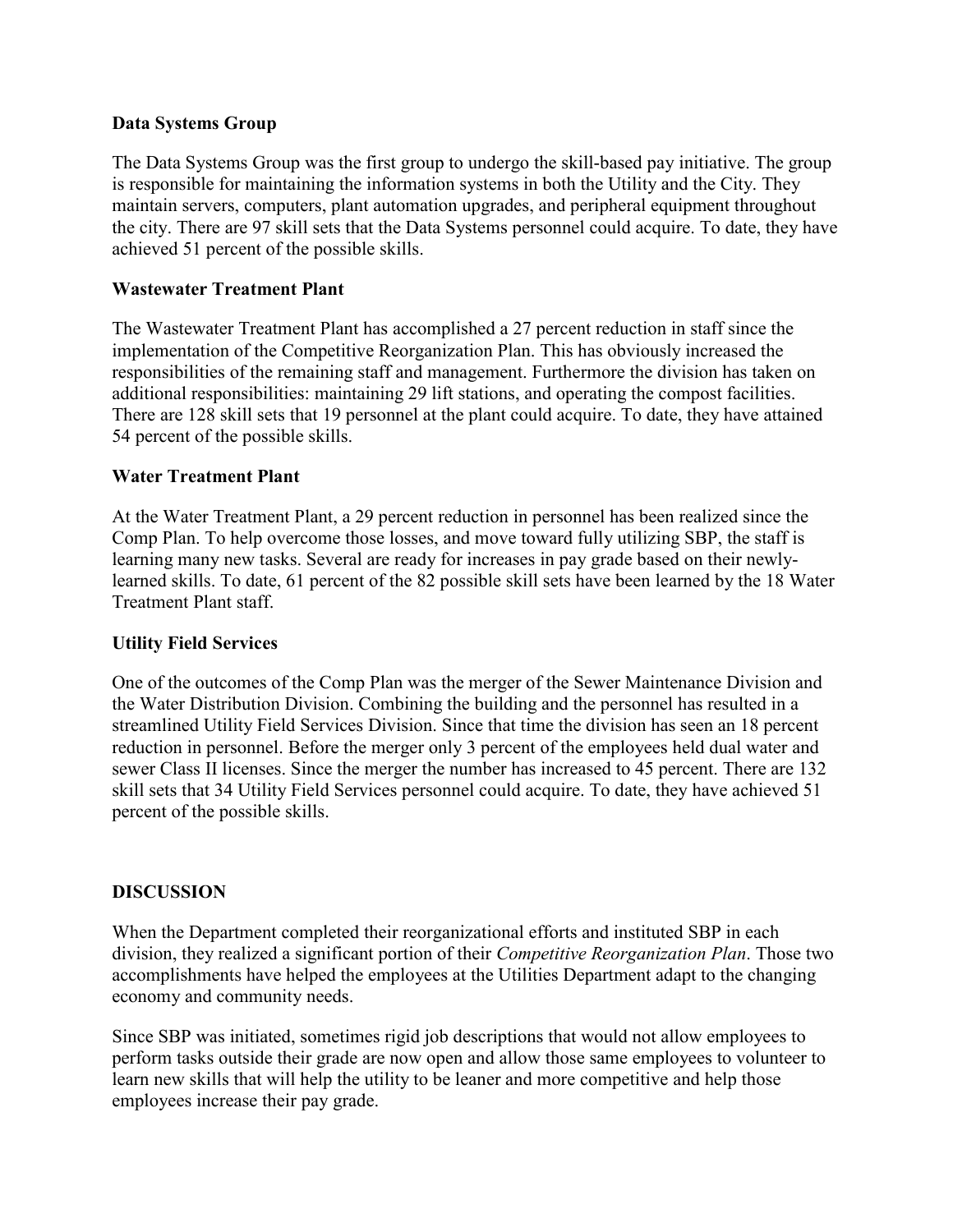## Data Systems Group

The Data Systems Group was the first group to undergo the skill-based pay initiative. The group is responsible for maintaining the information systems in both the Utility and the City. They maintain servers, computers, plant automation upgrades, and peripheral equipment throughout the city. There are 97 skill sets that the Data Systems personnel could acquire. To date, they have achieved 51 percent of the possible skills.

# Wastewater Treatment Plant

The Wastewater Treatment Plant has accomplished a 27 percent reduction in staff since the implementation of the Competitive Reorganization Plan. This has obviously increased the responsibilities of the remaining staff and management. Furthermore the division has taken on additional responsibilities: maintaining 29 lift stations, and operating the compost facilities. There are 128 skill sets that 19 personnel at the plant could acquire. To date, they have attained 54 percent of the possible skills.

## Water Treatment Plant

At the Water Treatment Plant, a 29 percent reduction in personnel has been realized since the Comp Plan. To help overcome those losses, and move toward fully utilizing SBP, the staff is learning many new tasks. Several are ready for increases in pay grade based on their newlylearned skills. To date, 61 percent of the 82 possible skill sets have been learned by the 18 Water Treatment Plant staff.

#### Utility Field Services

One of the outcomes of the Comp Plan was the merger of the Sewer Maintenance Division and the Water Distribution Division. Combining the building and the personnel has resulted in a streamlined Utility Field Services Division. Since that time the division has seen an 18 percent reduction in personnel. Before the merger only 3 percent of the employees held dual water and sewer Class II licenses. Since the merger the number has increased to 45 percent. There are 132 skill sets that 34 Utility Field Services personnel could acquire. To date, they have achieved 51 percent of the possible skills.

#### DISCUSSION

When the Department completed their reorganizational efforts and instituted SBP in each division, they realized a significant portion of their Competitive Reorganization Plan. Those two accomplishments have helped the employees at the Utilities Department adapt to the changing economy and community needs.

Since SBP was initiated, sometimes rigid job descriptions that would not allow employees to perform tasks outside their grade are now open and allow those same employees to volunteer to learn new skills that will help the utility to be leaner and more competitive and help those employees increase their pay grade.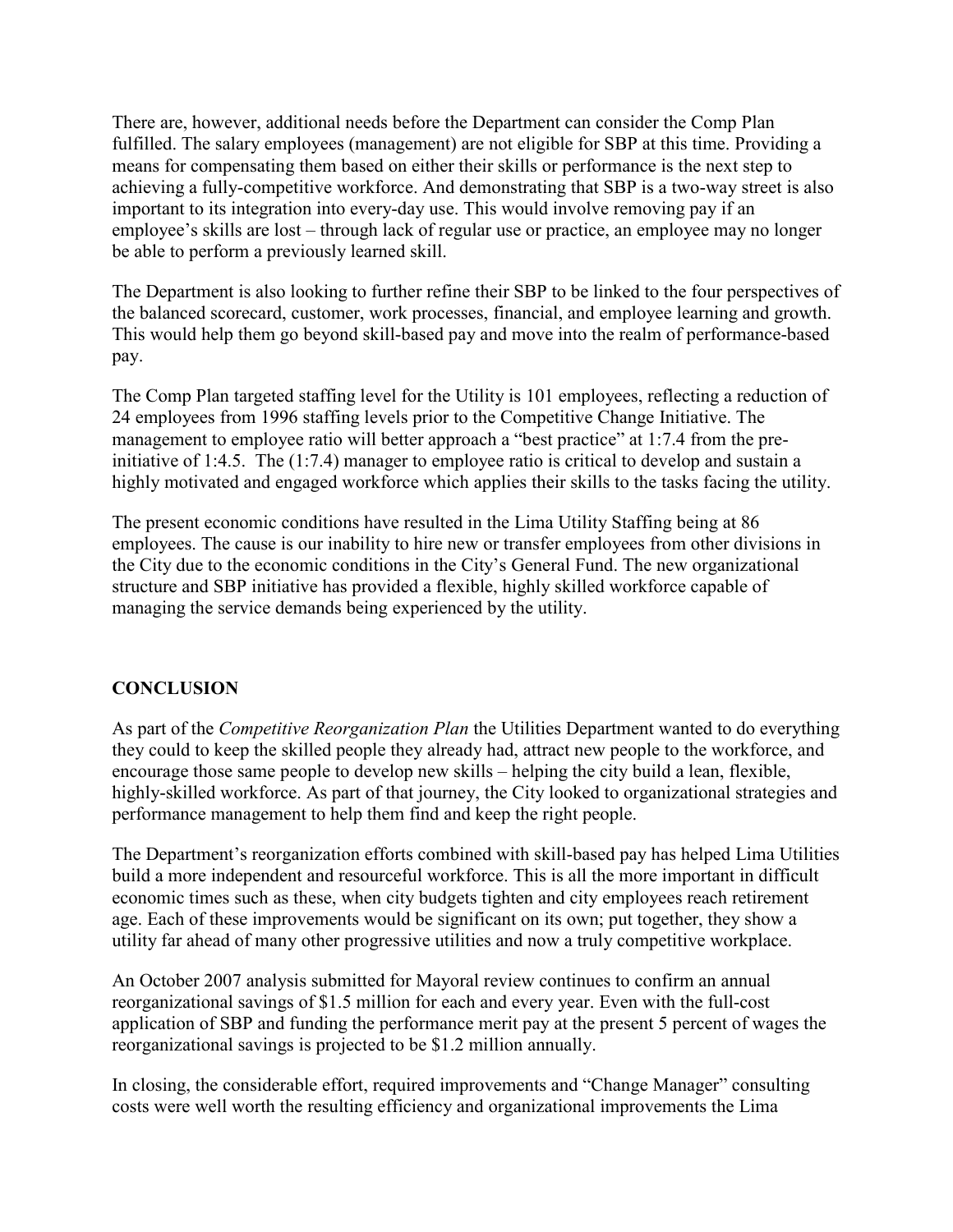There are, however, additional needs before the Department can consider the Comp Plan fulfilled. The salary employees (management) are not eligible for SBP at this time. Providing a means for compensating them based on either their skills or performance is the next step to achieving a fully-competitive workforce. And demonstrating that SBP is a two-way street is also important to its integration into every-day use. This would involve removing pay if an employee's skills are lost – through lack of regular use or practice, an employee may no longer be able to perform a previously learned skill.

The Department is also looking to further refine their SBP to be linked to the four perspectives of the balanced scorecard, customer, work processes, financial, and employee learning and growth. This would help them go beyond skill-based pay and move into the realm of performance-based pay.

The Comp Plan targeted staffing level for the Utility is 101 employees, reflecting a reduction of 24 employees from 1996 staffing levels prior to the Competitive Change Initiative. The management to employee ratio will better approach a "best practice" at 1:7.4 from the preinitiative of 1:4.5. The (1:7.4) manager to employee ratio is critical to develop and sustain a highly motivated and engaged workforce which applies their skills to the tasks facing the utility.

The present economic conditions have resulted in the Lima Utility Staffing being at 86 employees. The cause is our inability to hire new or transfer employees from other divisions in the City due to the economic conditions in the City's General Fund. The new organizational structure and SBP initiative has provided a flexible, highly skilled workforce capable of managing the service demands being experienced by the utility.

# **CONCLUSION**

As part of the *Competitive Reorganization Plan* the Utilities Department wanted to do everything they could to keep the skilled people they already had, attract new people to the workforce, and encourage those same people to develop new skills – helping the city build a lean, flexible, highly-skilled workforce. As part of that journey, the City looked to organizational strategies and performance management to help them find and keep the right people.

The Department's reorganization efforts combined with skill-based pay has helped Lima Utilities build a more independent and resourceful workforce. This is all the more important in difficult economic times such as these, when city budgets tighten and city employees reach retirement age. Each of these improvements would be significant on its own; put together, they show a utility far ahead of many other progressive utilities and now a truly competitive workplace.

An October 2007 analysis submitted for Mayoral review continues to confirm an annual reorganizational savings of \$1.5 million for each and every year. Even with the full-cost application of SBP and funding the performance merit pay at the present 5 percent of wages the reorganizational savings is projected to be \$1.2 million annually.

In closing, the considerable effort, required improvements and "Change Manager" consulting costs were well worth the resulting efficiency and organizational improvements the Lima